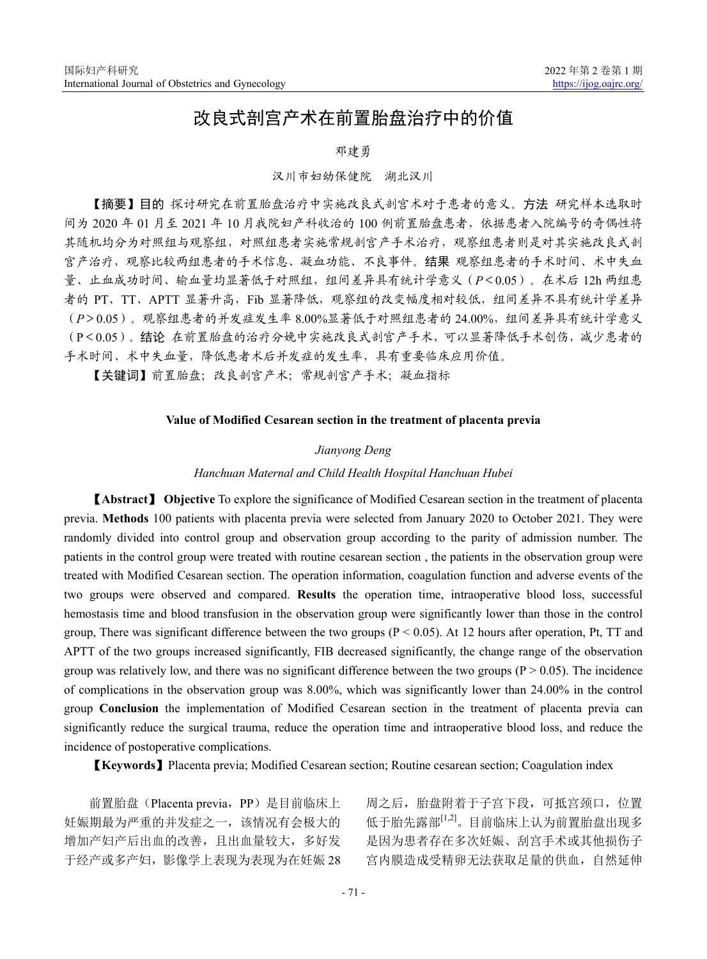# 改良式剖宫产术在前置胎盘治疗中的价值

#### 邓建勇

#### 汉川市妇幼保健院 湖北汉川

【摘要】目的 探讨研究在前置胎盘治疗中实施改良式剖宫术对于患者的意义。方法 研究样本选取时 间为 2020 年 01 月至 2021 年 10 月我院妇产科收治的 100 例前置胎盘患者,依据患者入院编号的奇偶性将 其随机均分为对照组与观察组,对照组患者实施常规剖宫产手术治疗,观察组患者则是对其实施改良式剖 宫产治疗,观察比较两组患者的手术信息、凝血功能、不良事件。结果 观察组患者的手术时间、术中失血 量、止血成功时间、输血量均显著低于对照组,组间差异具有统计学意义(*P*<0.05)。在术后 12h 两组患 者的 PT、TT、APTT 显著升高,Fib 显著降低,观察组的改变幅度相对较低,组间差异不具有统计学差异 (*P*>0.05)。观察组患者的并发症发生率 8.00%显著低于对照组患者的 24.00%,组间差异具有统计学意义 (P<0.05)。结论 在前置胎盘的治疗分娩中实施改良式剖宫产手术,可以显著降低手术创伤,减少患者的 手术时间、术中失血量,降低患者术后并发症的发生率,具有重要临床应用价值。

【关键词】前置胎盘;改良剖宫产术;常规剖宫产手术;凝血指标

# **Value of Modified Cesarean section in the treatment of placenta previa**

#### *Jianyong Deng*

#### *Hanchuan Maternal and Child Health Hospital Hanchuan Hubei*

【**Abstract**】 **Objective** To explore the significance of Modified Cesarean section in the treatment of placenta previa. **Methods** 100 patients with placenta previa were selected from January 2020 to October 2021. They were randomly divided into control group and observation group according to the parity of admission number. The patients in the control group were treated with routine cesarean section , the patients in the observation group were treated with Modified Cesarean section. The operation information, coagulation function and adverse events of the two groups were observed and compared. **Results** the operation time, intraoperative blood loss, successful hemostasis time and blood transfusion in the observation group were significantly lower than those in the control group, There was significant difference between the two groups ( $P < 0.05$ ). At 12 hours after operation, Pt, TT and APTT of the two groups increased significantly, FIB decreased significantly, the change range of the observation group was relatively low, and there was no significant difference between the two groups  $(P > 0.05)$ . The incidence of complications in the observation group was 8.00%, which was significantly lower than 24.00% in the control group **Conclusion** the implementation of Modified Cesarean section in the treatment of placenta previa can significantly reduce the surgical trauma, reduce the operation time and intraoperative blood loss, and reduce the incidence of postoperative complications.

【**Keywords**】Placenta previa; Modified Cesarean section; Routine cesarean section; Coagulation index

前置胎盘(Placenta previa, PP)是目前临床上 妊娠期最为严重的并发症之一,该情况有会极大的 增加产妇产后出血的改善,且出血量较大,多好发 于经产或多产妇,影像学上表现为表现为在妊娠 28 周之后,胎盘附着于子宫下段,可抵宫颈口,位置 低于胎先露部[1,2]。目前临床上认为前置胎盘出现多 是因为患者存在多次妊娠、刮宫手术或其他损伤子 宫内膜造成受精卵无法获取足量的供血,自然延伸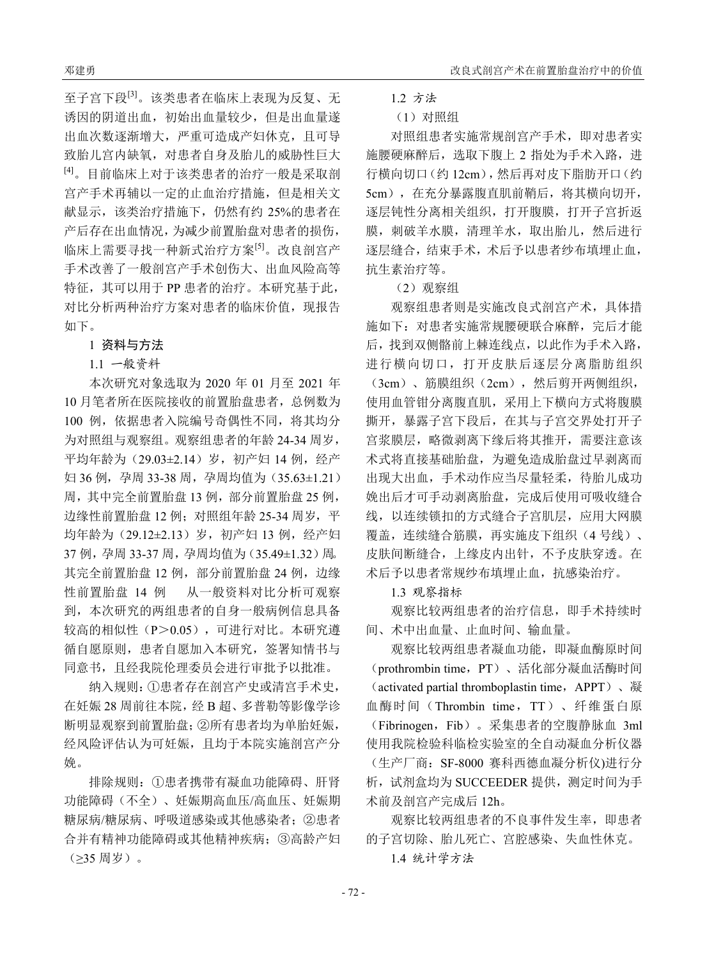至子宫下段[3]。该类患者在临床上表现为反复、无 诱因的阴道出血,初始出血量较少,但是出血量遂 出血次数逐渐增大,严重可造成产妇休克,且可导 致胎儿宫内缺氧,对患者自身及胎儿的威胁性巨大 [4]。目前临床上对于该类患者的治疗一般是采取剖 宫产手术再辅以一定的止血治疗措施,但是相关文 献显示,该类治疗措施下,仍然有约 25%的患者在 产后存在出血情况,为减少前置胎盘对患者的损伤, 临床上需要寻找一种新式治疗方案[5]。改良剖宫产 手术改善了一般剖宫产手术创伤大、出血风险高等 特征, 其可以用于 PP 患者的治疗。本研究基于此, 对比分析两种治疗方案对患者的临床价值, 现报告 如下。

#### 1 资料与方法

1.1 一般资料

本次研究对象选取为 2020 年 01 月至 2021 年 10 月笔者所在医院接收的前置胎盘患者,总例数为 100 例,依据患者入院编号奇偶性不同,将其均分 为对照组与观察组。观察组患者的年龄 24-34 周岁, 平均年龄为(29.03±2.14)岁,初产妇 14 例,经产 妇 36 例,孕周 33-38 周,孕周均值为 (35.63±1.21) 周,其中完全前置胎盘 13 例,部分前置胎盘 25 例, 边缘性前置胎盘 12 例;对照组年龄 25-34 周岁,平 均年龄为(29.12±2.13)岁,初产妇 13 例,经产妇 37 例,孕周 33-37 周,孕周均值为(35.49±1.32)周。 其完全前置胎盘 12 例,部分前置胎盘 24 例,边缘 性前置胎盘 14 例 从一般资料对比分析可观察 到,本次研究的两组患者的自身一般病例信息具备 较高的相似性(P>0.05),可进行对比。本研究遵 循自愿原则,患者自愿加入本研究,签署知情书与 同意书,且经我院伦理委员会进行审批予以批准。

纳入规则:①患者存在剖宫产史或清宫手术史, 在妊娠 28 周前往本院,经 B 超、多普勒等影像学诊 断明显观察到前置胎盘;②所有患者均为单胎妊娠, 经风险评估认为可妊娠,且均于本院实施剖宫产分 娩。

排除规则:①患者携带有凝血功能障碍、肝肾 功能障碍(不全)、妊娠期高血压/高血压、妊娠期 糖尿病/糖尿病、呼吸道感染或其他感染者;②患者 合并有精神功能障碍或其他精神疾病;③高龄产妇 (≥35 周岁)。

1.2 方法

### (1)对照组

对照组患者实施常规剖宫产手术,即对患者实 施腰硬麻醉后,选取下腹上 2 指处为手术入路,进 行横向切口(约 12cm),然后再对皮下脂肪开口(约 5cm),在充分暴露腹直肌前鞘后,将其横向切开, 逐层钝性分离相关组织,打开腹膜,打开子宫折返 膜,刺破羊水膜,清理羊水,取出胎儿,然后进行 逐层缝合,结束手术,术后予以患者纱布填埋止血, 抗生素治疗等。

(2)观察组

观察组患者则是实施改良式剖宫产术,具体措 施如下:对患者实施常规腰硬联合麻醉,完后才能 后,找到双侧骼前上棘连线点,以此作为手术入路, 进行横向切口,打开皮肤后逐层分离脂肪组织 (3cm)、筋膜组织(2cm),然后剪开两侧组织, 使用血管钳分离腹直肌,采用上下横向方式将腹膜 撕开,暴露子宫下段后,在其与子宫交界处打开子 宫浆膜层,略微剥离下缘后将其推开,需要注意该 术式将直接基础胎盘,为避免造成胎盘过早剥离而 出现大出血,手术动作应当尽量轻柔,待胎儿成功 娩出后才可手动剥离胎盘,完成后使用可吸收缝合 线,以连续锁扣的方式缝合子宫肌层,应用大网膜 覆盖,连续缝合筋膜,再实施皮下组织(4号线)、 皮肤间断缝合,上缘皮内出针,不予皮肤穿透。在 术后予以患者常规纱布填埋止血,抗感染治疗。

1.3 观察指标

观察比较两组患者的治疗信息,即手术持续时 间、术中出血量、止血时间、输血量。

观察比较两组患者凝血功能,即凝血酶原时间 (prothrombin time,PT)、活化部分凝血活酶时间 (activated partial thromboplastin time,APPT)、凝 血酶时间(Thrombin time,TT)、纤维蛋白原 (Fibrinogen,Fib)。采集患者的空腹静脉血 3ml 使用我院检验科临检实验室的全自动凝血分析仪器 (生产厂商:SF-8000 赛科西德血凝分析仪)进行分 析,试剂盒均为 SUCCEEDER 提供,测定时间为手 术前及剖宫产完成后 12h。

观察比较两组患者的不良事件发生率,即患者 的子宫切除、胎儿死亡、宫腔感染、失血性休克。 1.4 统计学方法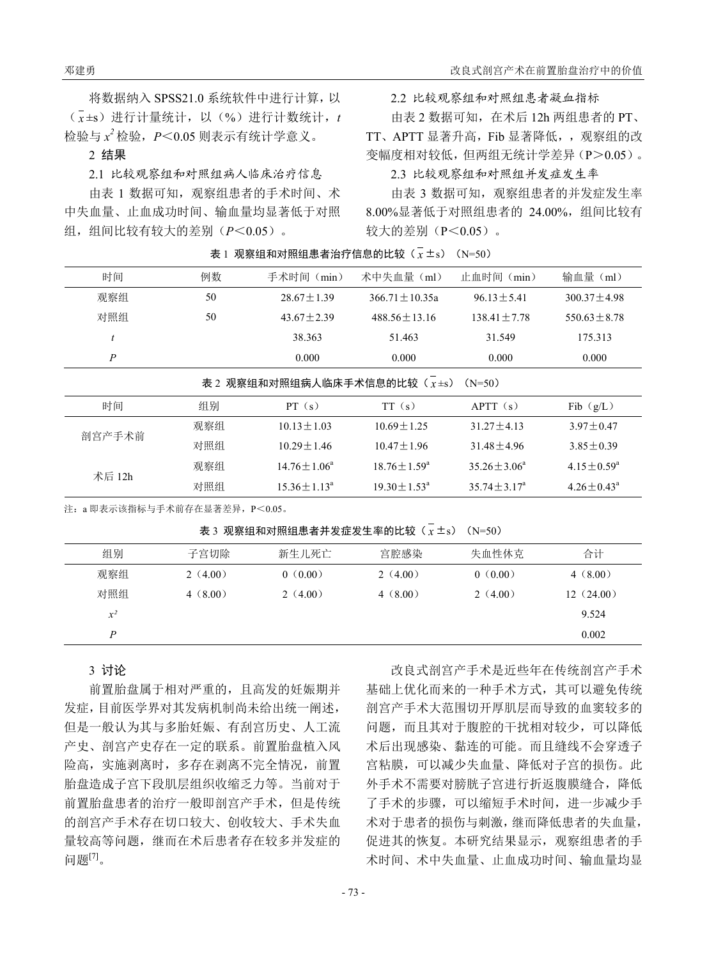将数据纳入 SPSS21.0 系统软件中进行计算,以 ( *x* ±s)进行计量统计,以(%)进行计数统计,*t* 检验与 *x <sup>2</sup>* 检验,*P*<0.05 则表示有统计学意义。

#### 2 结果

2.1 比较观察组和对照组病人临床治疗信息

由表 1 数据可知,观察组患者的手术时间、术 中失血量、止血成功时间、输血量均显著低于对照 组,组间比较有较大的差别(*P*<0.05)。

2.2 比较观察组和对照组患者凝血指标

由表 2 数据可知,在术后 12h 两组患者的 PT、 TT、APTT 显著升高,Fib 显著降低,,观察组的改 变幅度相对较低,但两组无统计学差异(P>0.05)。

#### 2.3 比较观察组和对照组并发症发生率

由表 3 数据可知,观察组患者的并发症发生率 8.00%显著低于对照组患者的 24.00%,组间比较有 较大的差别(P<0.05)。

 $\overline{x}$  1 观察组和对照组患者治疗信息的比较( $\overline{x}$  ±s) (N=50)

| 时间                                           | 例数 | 手术时间 (min)     | 术中失血量(ml)         | 止血时间 (min)      | 输血量 (ml)        |  |  |
|----------------------------------------------|----|----------------|-------------------|-----------------|-----------------|--|--|
| 观察组                                          | 50 | $28.67 + 1.39$ | $366.71 + 10.35a$ | $96.13 + 5.41$  | $300.37 + 4.98$ |  |  |
| 对照组                                          | 50 | $43.67 + 2.39$ | $488.56 + 13.16$  | $138.41 + 7.78$ | $550.63 + 8.78$ |  |  |
|                                              |    | 38.363         | 51.463            | 31.549          | 175.313         |  |  |
| P                                            |    | 0.000          | 0.000             | 0.000           | 0.000           |  |  |
| 表 2 观察组和对照组病人临床手术信息的比较 $(x + s)$<br>$(N=50)$ |    |                |                   |                 |                 |  |  |

| 时间     | 组别  | PT(s)                    | TT(s)                    | APT(s)                   | Fib $(g/L)$             |
|--------|-----|--------------------------|--------------------------|--------------------------|-------------------------|
| 剖宫产手术前 | 观察组 | $10.13 + 1.03$           | $10.69 + 1.25$           | $31.27 + 4.13$           | $3.97 + 0.47$           |
|        | 对照组 | $10.29 + 1.46$           | $10.47 + 1.96$           | $31.48 + 4.96$           | $3.85 + 0.39$           |
| 术后 12h | 观察组 | $14.76 \pm 1.06^{\circ}$ | $18.76 \pm 1.59^{\circ}$ | $35.26 \pm 3.06^{\circ}$ | $4.15 \pm 0.59^{\circ}$ |
|        | 对照组 | $15.36 \pm 1.13^{\circ}$ | $19.30 \pm 1.53^{\circ}$ | $35.74 \pm 3.17^{\circ}$ | $4.26 \pm 0.43^{\circ}$ |

注:a 即表示该指标与手术前存在显著差异,P<0.05。

 $\overline{x}$  3 观察组和对照组患者并发症发生率的比较( $\overline{x}$  ±s) (N=50)

| 组别    | 子宫切除    | 新生儿死亡   | 宫腔感染    | 失血性休克   | 合计        |
|-------|---------|---------|---------|---------|-----------|
| 观察组   | 2(4.00) | 0(0.00) | 2(4.00) | 0(0.00) | 4(8.00)   |
| 对照组   | 4(8.00) | 2(4.00) | 4(8.00) | 2(4.00) | 12(24.00) |
| $x^2$ |         |         |         |         | 9.524     |
| P     |         |         |         |         | 0.002     |

# 3 讨论

前置胎盘属于相对严重的,且高发的妊娠期并 发症,目前医学界对其发病机制尚未给出统一阐述, 但是一般认为其与多胎妊娠、有刮宫历史、人工流 产史、剖宫产史存在一定的联系。前置胎盘植入风 险高,实施剥离时,多存在剥离不完全情况,前置 胎盘造成子宫下段肌层组织收缩乏力等。当前对于 前置胎盘患者的治疗一般即剖宫产手术,但是传统 的剖宫产手术存在切口较大、创收较大、手术失血 量较高等问题,继而在术后患者存在较多并发症的 问题[7]。

改良式剖宫产手术是近些年在传统剖宫产手术 基础上优化而来的一种手术方式,其可以避免传统 剖宫产手术大范围切开厚肌层而导致的血窦较多的 问题,而且其对于腹腔的干扰相对较少,可以降低 术后出现感染、黏连的可能。而且缝线不会穿透子 宫粘膜,可以减少失血量、降低对子宫的损伤。此 外手术不需要对膀胱子宫进行折返腹膜缝合,降低 了手术的步骤,可以缩短手术时间,进一步减少手 术对于患者的损伤与刺激,继而降低患者的失血量, 促进其的恢复。本研究结果显示,观察组患者的手 术时间、术中失血量、止血成功时间、输血量均显